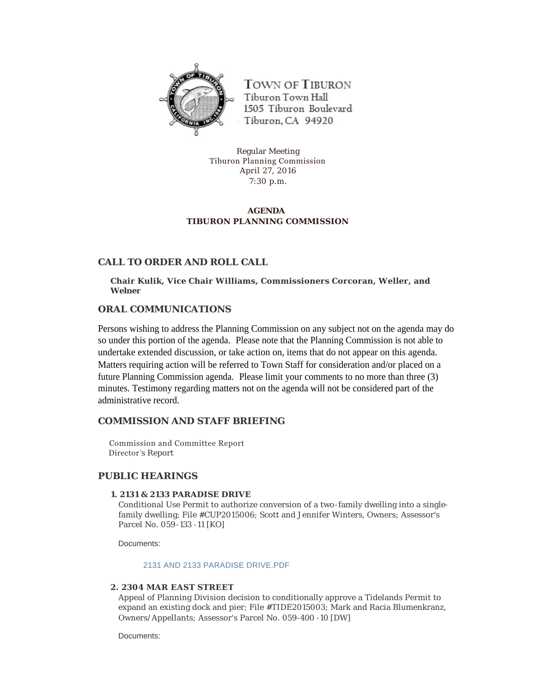

**TOWN OF TIBURON** Tiburon Town Hall 1505 Tiburon Boulevard Tiburon, CA 94920

Regular Meeting Tiburon Planning Commission April 27, 2016 7:30 p.m.

# **AGENDA TIBURON PLANNING COMMISSION**

# **CALL TO ORDER AND ROLL CALL**

**Chair Kulik, Vice Chair Williams, Commissioners Corcoran, Weller, and Welner**

### **ORAL COMMUNICATIONS**

Persons wishing to address the Planning Commission on any subject not on the agenda may do so under this portion of the agenda. Please note that the Planning Commission is not able to undertake extended discussion, or take action on, items that do not appear on this agenda. Matters requiring action will be referred to Town Staff for consideration and/or placed on a future Planning Commission agenda. Please limit your comments to no more than three (3) minutes. Testimony regarding matters not on the agenda will not be considered part of the administrative record.

# **COMMISSION AND STAFF BRIEFING**

 Commission and Committee Report Director 's Report

# **PUBLIC HEARINGS**

#### **1. 2131 & 2133 PARADISE DRIVE**

Conditional Use Permit to authorize conversion of a two-family dwelling into a singlefamily dwelling; File #CUP2015006; Scott and Jennifer Winters, Owners; Assessor's Parcel No. 059-133 -11 [KO]

Documents:

#### [2131 AND 2133 PARADISE DRIVE.PDF](http://townoftiburon.org/AgendaCenter/ViewFile/Item/1952?fileID=1126)

### **2. 2304 MAR EAST STREET**

Appeal of Planning Division decision to conditionally approve a Tidelands Permit to expand an existing dock and pier; File #TIDE2015003; Mark and Racia Blumenkranz, Owners/Appellants; Assessor's Parcel No. 059-400 -10 [DW]

Documents: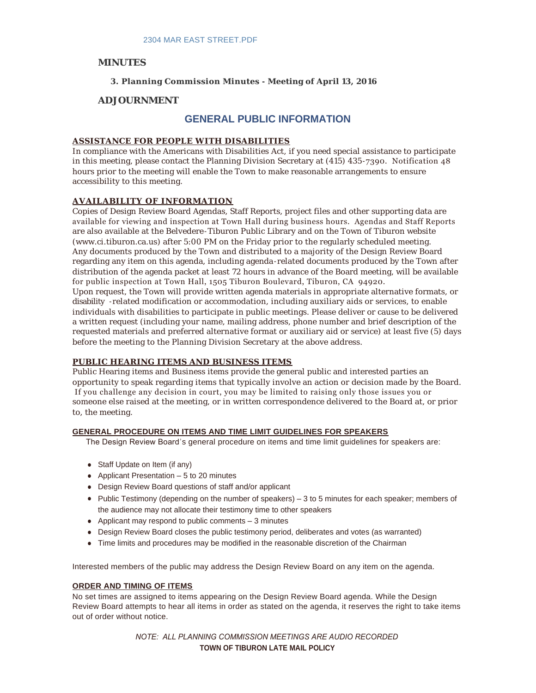# **MINUTES**

### **3. Planning Commission Minutes - Meeting of April 13, 2016**

# **ADJOURNMENT**

# **GENERAL PUBLIC INFORMATION**

### **ASSISTANCE FOR PEOPLE WITH DISABILITIES**

In compliance with the Americans with Disabilities Act, if you need special assistance to participate in this meeting, please contact the Planning Division Secretary at (415) 435 -7390. Notification 48 hours prior to the meeting will enable the Town to make reasonable arrangements to ensure accessibility to this meeting.

### **AVAILABILITY OF INFORMATION**

Copies of Design Review Board Agendas, Staff Reports, project files and other supporting data are available for viewing and inspection at Town Hall during business hours. Agendas and Staff Reports are also available at the Belvedere -Tiburon Public Library and on the Town of Tiburon website (www.ci.tiburon.ca.us) after 5:00 PM on the Friday prior to the regularly scheduled meeting. Any documents produced by the Town and distributed to a majority of the Design Review Board regarding any item on this agenda, including agenda -related documents produced by the Town after distribution of the agenda packet at least 72 hours in advance of the Board meeting, will be available for public inspection at Town Hall, 1505 Tiburon Boulevard, Tiburon, CA 94920. Upon request, the Town will provide written agenda materials in appropriate alternative formats, or disability -related modification or accommodation, including auxiliary aids or services, to enable individuals with disabilities to participate in public meetings. Please deliver or cause to be delivered a written request (including your name, mailing address, phone number and brief description of the requested materials and preferred alternative format or auxiliary aid or service) at least five (5) days

before the meeting to the Planning Division Secretary at the above address.

# **PUBLIC HEARING ITEMS AND BUSINESS ITEMS**

Public Hearing items and Business items provide the general public and interested parties an opportunity to speak regarding items that typically involve an action or decision made by the Board. If you challenge any decision in court, you may be limited to raising only those issues you or someone else raised at the meeting, or in written correspondence delivered to the Board at, or prior to, the meeting.

### **GENERAL PROCEDURE ON ITEMS AND TIME LIMIT GUIDELINES FOR SPEAKERS**

The Design Review Board's general procedure on items and time limit guidelines for speakers are:

- Staff Update on Item (if any)
- Applicant Presentation  $-5$  to 20 minutes
- Design Review Board questions of staff and/or applicant
- Public Testimony (depending on the number of speakers) 3 to 5 minutes for each speaker; members of the audience may not allocate their testimony time to other speakers
- Applicant may respond to public comments  $-3$  minutes
- Design Review Board closes the public testimony period, deliberates and votes (as warranted)
- <sup>l</sup> Time limits and procedures may be modified in the reasonable discretion of the Chairman

Interested members of the public may address the Design Review Board on any item on the agenda.

#### **ORDER AND TIMING OF ITEMS**

No set times are assigned to items appearing on the Design Review Board agenda. While the Design Review Board attempts to hear all items in order as stated on the agenda, it reserves the right to take items out of order without notice.

> *NOTE: ALL PLANNING COMMISSION MEETINGS ARE AUDIO RECORDED* **TOWN OF TIBURON LATE MAIL POLICY**